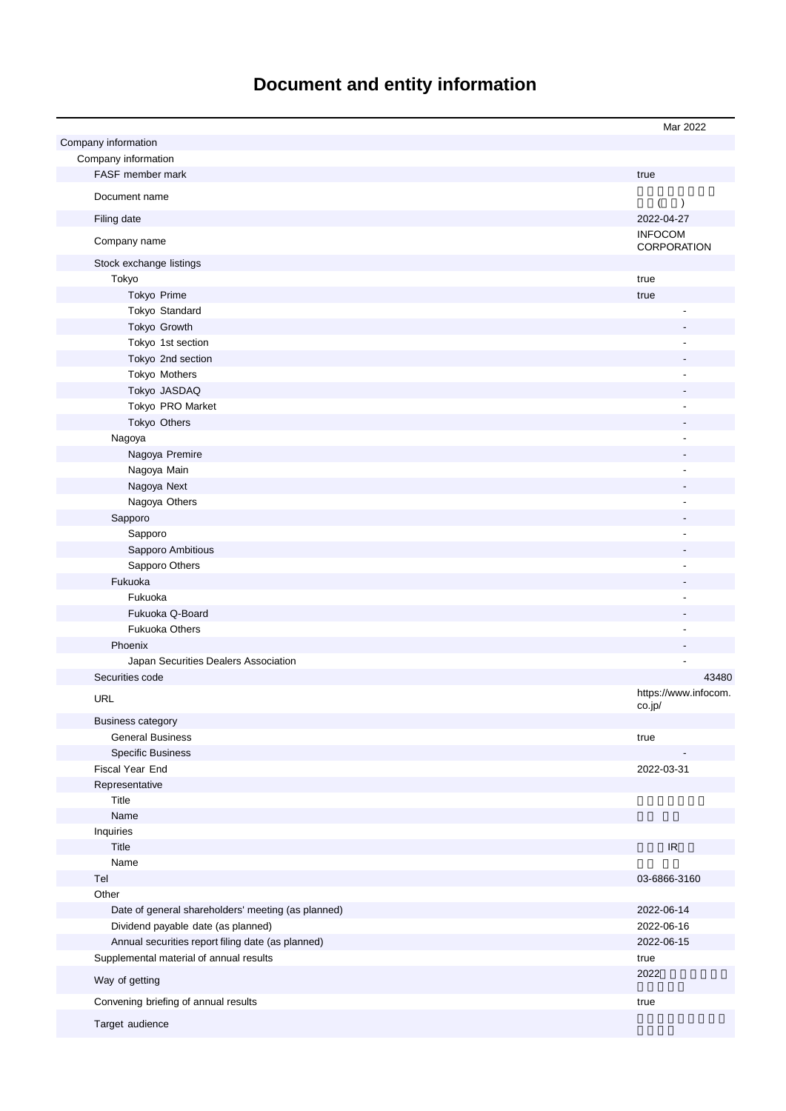# **Document and entity information**

|                                                    | Mar 2022                          |
|----------------------------------------------------|-----------------------------------|
| Company information                                |                                   |
| Company information                                |                                   |
| FASF member mark                                   | true                              |
|                                                    |                                   |
| Document name                                      | $\overline{(}$<br>$\rightarrow$   |
| Filing date                                        | 2022-04-27                        |
| Company name                                       | <b>INFOCOM</b><br>CORPORATION     |
| Stock exchange listings                            |                                   |
| Tokyo                                              | true                              |
| Tokyo Prime                                        |                                   |
|                                                    | true                              |
| Tokyo Standard                                     |                                   |
| Tokyo Growth                                       |                                   |
| Tokyo 1st section                                  |                                   |
| Tokyo 2nd section                                  |                                   |
| Tokyo Mothers                                      |                                   |
| Tokyo JASDAQ                                       |                                   |
| Tokyo PRO Market                                   |                                   |
| Tokyo Others                                       |                                   |
| Nagoya                                             |                                   |
| Nagoya Premire                                     |                                   |
| Nagoya Main                                        |                                   |
| Nagoya Next                                        |                                   |
| Nagoya Others                                      |                                   |
| Sapporo                                            |                                   |
| Sapporo                                            |                                   |
| Sapporo Ambitious                                  |                                   |
| Sapporo Others                                     |                                   |
| Fukuoka                                            |                                   |
| Fukuoka                                            |                                   |
| Fukuoka Q-Board                                    |                                   |
| <b>Fukuoka Others</b>                              |                                   |
| Phoenix                                            |                                   |
| Japan Securities Dealers Association               |                                   |
| Securities code                                    | 43480                             |
| <b>URL</b>                                         | https://www.infocom.<br>co.jp/    |
| <b>Business category</b>                           |                                   |
| <b>General Business</b>                            | true                              |
| <b>Specific Business</b>                           |                                   |
| Fiscal Year End                                    | 2022-03-31                        |
| Representative                                     |                                   |
| Title                                              |                                   |
| Name                                               |                                   |
| Inquiries                                          |                                   |
| Title                                              | $\ensuremath{\mathsf{IR}}\xspace$ |
| Name                                               |                                   |
| Tel                                                | 03-6866-3160                      |
| Other                                              |                                   |
| Date of general shareholders' meeting (as planned) | 2022-06-14                        |
| Dividend payable date (as planned)                 | 2022-06-16                        |
| Annual securities report filing date (as planned)  | 2022-06-15                        |
| Supplemental material of annual results            | true                              |
| Way of getting                                     | 2022                              |
|                                                    |                                   |
| Convening briefing of annual results               | true                              |
| Target audience                                    |                                   |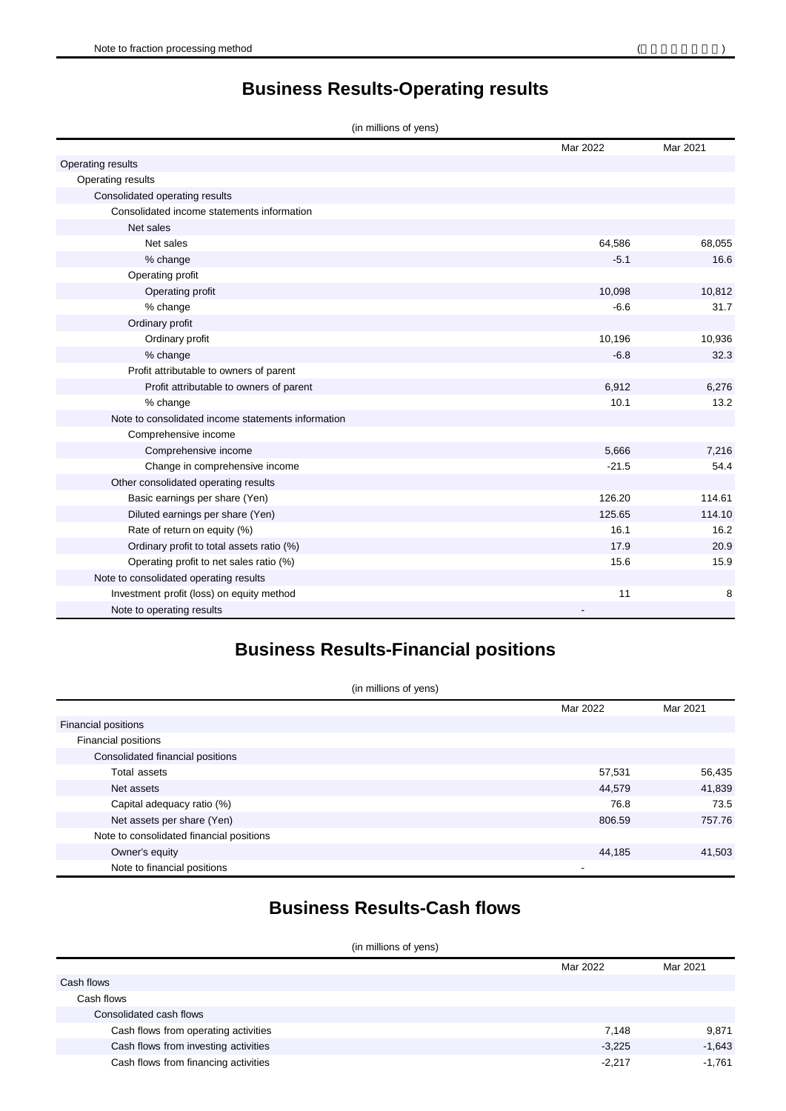**Business Results-Operating results**

| (in millions of yens) |  |  |  |  |
|-----------------------|--|--|--|--|
|-----------------------|--|--|--|--|

|                                                    | Mar 2022 | Mar 2021 |
|----------------------------------------------------|----------|----------|
| Operating results                                  |          |          |
| Operating results                                  |          |          |
| Consolidated operating results                     |          |          |
| Consolidated income statements information         |          |          |
| Net sales                                          |          |          |
| Net sales                                          | 64,586   | 68,055   |
| % change                                           | $-5.1$   | 16.6     |
| Operating profit                                   |          |          |
| Operating profit                                   | 10,098   | 10,812   |
| % change                                           | $-6.6$   | 31.7     |
| Ordinary profit                                    |          |          |
| Ordinary profit                                    | 10,196   | 10,936   |
| % change                                           | $-6.8$   | 32.3     |
| Profit attributable to owners of parent            |          |          |
| Profit attributable to owners of parent            | 6,912    | 6,276    |
| % change                                           | 10.1     | 13.2     |
| Note to consolidated income statements information |          |          |
| Comprehensive income                               |          |          |
| Comprehensive income                               | 5,666    | 7,216    |
| Change in comprehensive income                     | $-21.5$  | 54.4     |
| Other consolidated operating results               |          |          |
| Basic earnings per share (Yen)                     | 126.20   | 114.61   |
| Diluted earnings per share (Yen)                   | 125.65   | 114.10   |
| Rate of return on equity (%)                       | 16.1     | 16.2     |
| Ordinary profit to total assets ratio (%)          | 17.9     | 20.9     |
| Operating profit to net sales ratio (%)            | 15.6     | 15.9     |
| Note to consolidated operating results             |          |          |
| Investment profit (loss) on equity method          | 11       | 8        |
| Note to operating results                          |          |          |

## **Business Results-Financial positions**

| (in millions of yens)                    |          |          |
|------------------------------------------|----------|----------|
|                                          | Mar 2022 | Mar 2021 |
| Financial positions                      |          |          |
| Financial positions                      |          |          |
| Consolidated financial positions         |          |          |
| Total assets                             | 57,531   | 56,435   |
| Net assets                               | 44,579   | 41,839   |
| Capital adequacy ratio (%)               | 76.8     | 73.5     |
| Net assets per share (Yen)               | 806.59   | 757.76   |
| Note to consolidated financial positions |          |          |
| Owner's equity                           | 44,185   | 41,503   |
| Note to financial positions              |          |          |

#### **Business Results-Cash flows**

| (in millions of yens)                |          |          |  |  |
|--------------------------------------|----------|----------|--|--|
|                                      | Mar 2022 | Mar 2021 |  |  |
| Cash flows                           |          |          |  |  |
| Cash flows                           |          |          |  |  |
| Consolidated cash flows              |          |          |  |  |
| Cash flows from operating activities | 7,148    | 9,871    |  |  |
| Cash flows from investing activities | $-3,225$ | $-1,643$ |  |  |
| Cash flows from financing activities | $-2,217$ | $-1,761$ |  |  |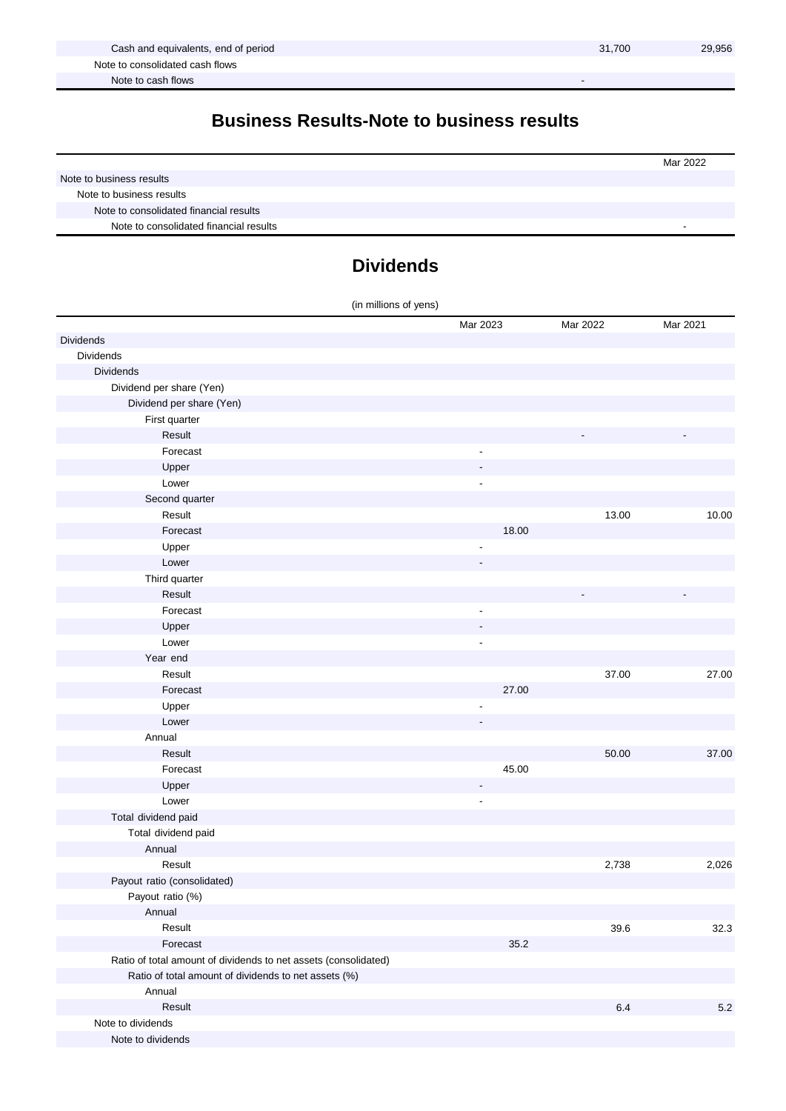#### **Business Results-Note to business results**

|                                        | Mar 2022 |
|----------------------------------------|----------|
| Note to business results               |          |
| Note to business results               |          |
| Note to consolidated financial results |          |
| Note to consolidated financial results |          |

#### **Dividends**

| (in millions of yens)                                           |                          |          |          |
|-----------------------------------------------------------------|--------------------------|----------|----------|
|                                                                 | Mar 2023                 | Mar 2022 | Mar 2021 |
| Dividends                                                       |                          |          |          |
| <b>Dividends</b>                                                |                          |          |          |
| <b>Dividends</b>                                                |                          |          |          |
| Dividend per share (Yen)                                        |                          |          |          |
| Dividend per share (Yen)                                        |                          |          |          |
| First quarter                                                   |                          |          |          |
| Result                                                          |                          |          |          |
| Forecast                                                        | $\overline{\phantom{a}}$ |          |          |
| Upper                                                           |                          |          |          |
| Lower                                                           | $\overline{\phantom{a}}$ |          |          |
| Second quarter                                                  |                          |          |          |
| Result                                                          |                          | 13.00    | 10.00    |
| Forecast                                                        | 18.00                    |          |          |
| Upper                                                           |                          |          |          |
| Lower                                                           |                          |          |          |
| Third quarter                                                   |                          |          |          |
| Result                                                          |                          |          |          |
| Forecast                                                        | $\overline{a}$           |          |          |
| Upper                                                           |                          |          |          |
| Lower                                                           | $\overline{a}$           |          |          |
| Year end                                                        |                          |          |          |
| Result                                                          |                          | 37.00    | 27.00    |
| Forecast                                                        | 27.00                    |          |          |
| Upper                                                           |                          |          |          |
| Lower                                                           |                          |          |          |
| Annual                                                          |                          |          |          |
| Result                                                          |                          | 50.00    | 37.00    |
| Forecast                                                        | 45.00                    |          |          |
| Upper                                                           |                          |          |          |
| Lower                                                           | ÷,                       |          |          |
| Total dividend paid                                             |                          |          |          |
| Total dividend paid                                             |                          |          |          |
| Annual                                                          |                          |          |          |
| Result                                                          |                          | 2,738    | 2,026    |
| Payout ratio (consolidated)                                     |                          |          |          |
| Payout ratio (%)                                                |                          |          |          |
| Annual                                                          |                          |          |          |
| Result                                                          |                          | 39.6     | 32.3     |
| Forecast                                                        | 35.2                     |          |          |
| Ratio of total amount of dividends to net assets (consolidated) |                          |          |          |
| Ratio of total amount of dividends to net assets (%)            |                          |          |          |
| Annual                                                          |                          |          |          |
| Result                                                          |                          | $6.4\,$  | $5.2\,$  |
| Note to dividends                                               |                          |          |          |
| Note to dividends                                               |                          |          |          |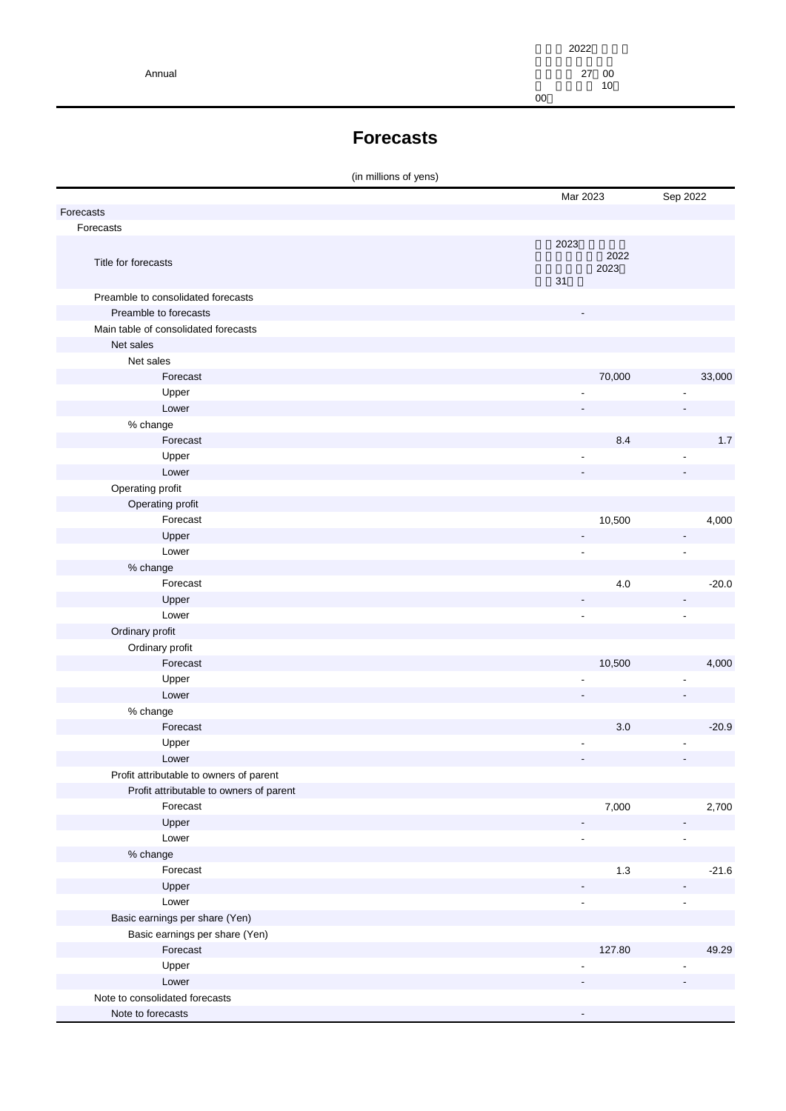|        | 2022 |    |
|--------|------|----|
| Annual | 27   | 00 |
|        |      | 10 |
|        | 00   |    |

#### **Forecasts**

|                                         | Mar 2023                 |         | Sep 2022                 |
|-----------------------------------------|--------------------------|---------|--------------------------|
| Forecasts                               |                          |         |                          |
| Forecasts                               |                          |         |                          |
|                                         | 2023                     |         |                          |
| Title for forecasts                     |                          | 2022    |                          |
|                                         |                          | 2023    |                          |
|                                         | 31                       |         |                          |
| Preamble to consolidated forecasts      |                          |         |                          |
| Preamble to forecasts                   |                          |         |                          |
| Main table of consolidated forecasts    |                          |         |                          |
| Net sales                               |                          |         |                          |
| Net sales                               |                          |         |                          |
| Forecast                                |                          | 70,000  | 33,000                   |
| Upper                                   |                          |         |                          |
| Lower                                   |                          |         |                          |
| % change                                |                          |         |                          |
| Forecast                                |                          | 8.4     | $1.7$                    |
| Upper                                   |                          |         |                          |
| Lower                                   |                          |         |                          |
| Operating profit                        |                          |         |                          |
| Operating profit                        |                          |         |                          |
| Forecast                                |                          | 10,500  | 4,000                    |
| Upper                                   | $\overline{\phantom{0}}$ |         | $\overline{\phantom{a}}$ |
| Lower                                   | ÷,                       |         | ä,                       |
| % change                                |                          |         |                          |
| Forecast                                |                          | $4.0\,$ | $-20.0$                  |
| Upper                                   |                          |         |                          |
| Lower                                   | L,                       |         | ä,                       |
| Ordinary profit                         |                          |         |                          |
| Ordinary profit                         |                          |         |                          |
| Forecast                                |                          | 10,500  | 4,000                    |
| Upper                                   |                          |         |                          |
| Lower                                   |                          |         |                          |
| % change                                |                          |         |                          |
| Forecast                                |                          | $3.0\,$ | $-20.9$                  |
| Upper                                   | $\overline{a}$           |         |                          |
| Lower                                   |                          |         |                          |
| Profit attributable to owners of parent |                          |         |                          |
| Profit attributable to owners of parent |                          |         |                          |
| Forecast                                |                          | 7,000   | 2,700                    |
| Upper                                   |                          |         |                          |
| Lower                                   | ÷,                       |         | $\blacksquare$           |
| % change                                |                          |         |                          |
| Forecast                                |                          | $1.3$   | $-21.6$                  |
| Upper                                   |                          |         |                          |
| Lower                                   | ٠                        |         | ä,                       |
|                                         |                          |         |                          |
| Basic earnings per share (Yen)          |                          |         |                          |
| Basic earnings per share (Yen)          |                          |         |                          |
| Forecast                                |                          | 127.80  | 49.29                    |
| Upper                                   |                          |         |                          |
| Lower                                   |                          |         |                          |
| Note to consolidated forecasts          |                          |         |                          |
| Note to forecasts                       |                          |         |                          |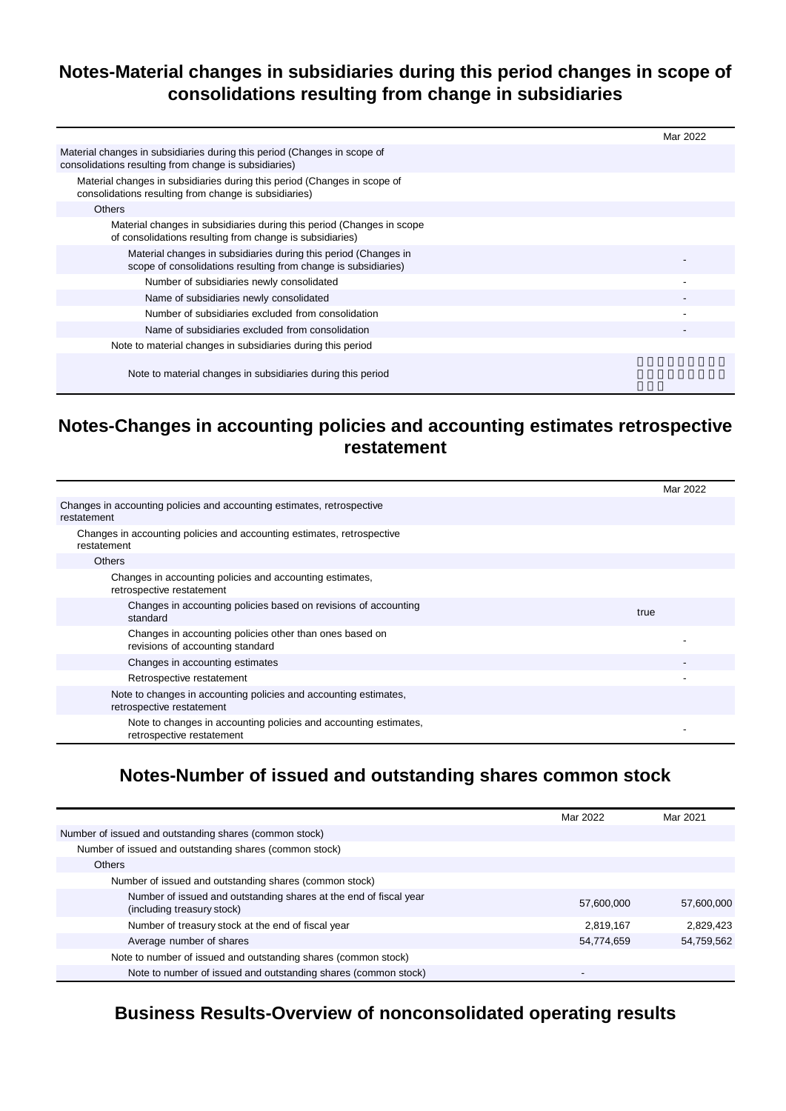#### **Notes-Material changes in subsidiaries during this period changes in scope of consolidations resulting from change in subsidiaries**

|                                                                                                                                   | Mar 2022 |
|-----------------------------------------------------------------------------------------------------------------------------------|----------|
| Material changes in subsidiaries during this period (Changes in scope of<br>consolidations resulting from change is subsidiaries) |          |
| Material changes in subsidiaries during this period (Changes in scope of<br>consolidations resulting from change is subsidiaries) |          |
| <b>Others</b>                                                                                                                     |          |
| Material changes in subsidiaries during this period (Changes in scope<br>of consolidations resulting from change is subsidiaries) |          |
| Material changes in subsidiaries during this period (Changes in<br>scope of consolidations resulting from change is subsidiaries) |          |
| Number of subsidiaries newly consolidated                                                                                         |          |
| Name of subsidiaries newly consolidated                                                                                           |          |
| Number of subsidiaries excluded from consolidation                                                                                |          |
| Name of subsidiaries excluded from consolidation                                                                                  |          |
| Note to material changes in subsidiaries during this period                                                                       |          |
| Note to material changes in subsidiaries during this period                                                                       |          |

#### **Notes-Changes in accounting policies and accounting estimates retrospective restatement**

|                                                                                               | Mar 2022 |
|-----------------------------------------------------------------------------------------------|----------|
| Changes in accounting policies and accounting estimates, retrospective<br>restatement         |          |
| Changes in accounting policies and accounting estimates, retrospective<br>restatement         |          |
| <b>Others</b>                                                                                 |          |
| Changes in accounting policies and accounting estimates,<br>retrospective restatement         |          |
| Changes in accounting policies based on revisions of accounting<br>standard                   | true     |
| Changes in accounting policies other than ones based on<br>revisions of accounting standard   |          |
| Changes in accounting estimates                                                               |          |
| Retrospective restatement                                                                     |          |
| Note to changes in accounting policies and accounting estimates,<br>retrospective restatement |          |
| Note to changes in accounting policies and accounting estimates,<br>retrospective restatement |          |

#### **Notes-Number of issued and outstanding shares common stock**

|                                                                                                 | Mar 2022                 | Mar 2021   |
|-------------------------------------------------------------------------------------------------|--------------------------|------------|
| Number of issued and outstanding shares (common stock)                                          |                          |            |
| Number of issued and outstanding shares (common stock)                                          |                          |            |
| <b>Others</b>                                                                                   |                          |            |
| Number of issued and outstanding shares (common stock)                                          |                          |            |
| Number of issued and outstanding shares at the end of fiscal year<br>(including treasury stock) | 57,600,000               | 57,600,000 |
| Number of treasury stock at the end of fiscal year                                              | 2.819.167                | 2.829.423  |
| Average number of shares                                                                        | 54,774,659               | 54,759,562 |
| Note to number of issued and outstanding shares (common stock)                                  |                          |            |
| Note to number of issued and outstanding shares (common stock)                                  | $\overline{\phantom{0}}$ |            |

#### **Business Results-Overview of nonconsolidated operating results**